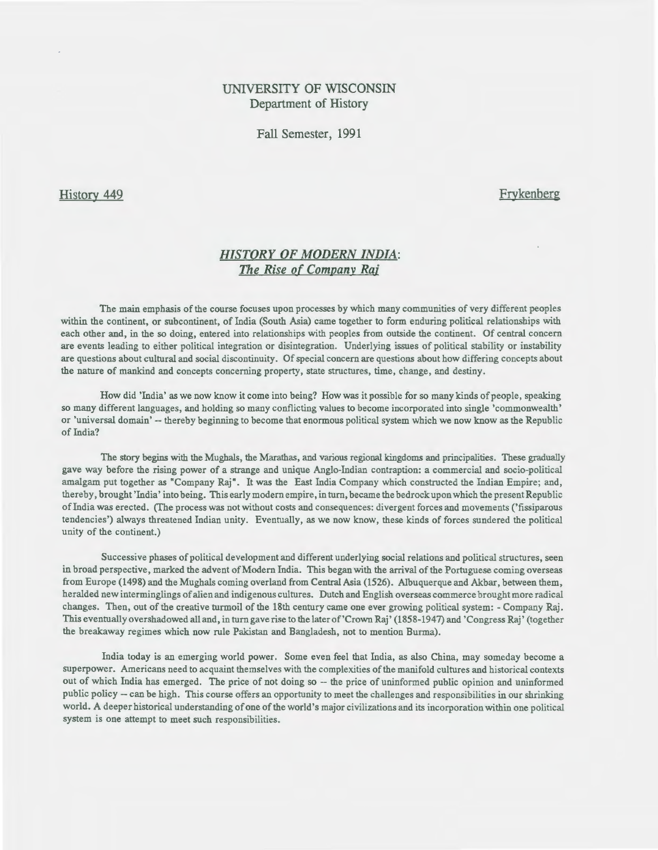# UNIVERSITY OF WISCONSIN Department of History

Fall Semester, 1991

History 449

**Frykenberg** 

# *HISTORY OF MODERN INDIA:*  The Rise of Company Raj

The main emphasis of the course focuses upon processes by which many communities of very different peoples within the continent, or subcontinent, of India (South Asia) came together to form enduring political relationships with each other and, in the so doing, entered into relationships with peoples from outside the continent. Of central concern are events leading to either political integration or disintegration. Underlying issues of political stability or instability are questions about cultural and social discontinuity. Of special concern are questions about how differing concepts about the nature of mankind and concepts concerning property, state structures, time, change, and destiny.

How did 'India' as we now know it come into being? How was it possible for so many kinds of people, speaking so many different languages, and holding so many conflicting values to become incorporated into single 'commonwealth' or 'universal domain'-- thereby beginning to become that enormous political system which we now know as the Republic of India?

The story begins with the Mughals, the Marathas, and various regional kingdoms and principalities. These gradually gave way before the rising power of a strange and unique Anglo-Indian contraption: a commercial and socio-political amalgam put together as "Company Raj". It was the East India Company which constructed the Indian Empire; and, thereby, brought 'India' into being. This early modern empire, in turn, became the bedrock upon which the present Republic of India was erected. (The process was not without costs and consequences: divergent forces and movements ('fissiparous tendencies') always threatened Indian unity. Eventually, as we now know, these kinds of forces sundered the political unity of the continent.)

Successive phases of political development and different underlying social relations and political structures, seen in broad perspective, marked the advent ofModern India. This began with the arrival of the Portuguese coming overseas from Europe (1498) and the Mughals coming overland from Central Asia (1526). Albuquerque and Akbar, between them, heralded new interminglings of alien and indigenous cultures. Dutch and English overseas commerce brought more radical changes. Then, out of the creative turmoil of the 18th century came one ever growing political system:- Company Raj. This eventually overshadowed all and, in turn gave rise to the later of'Crown Raj' (1858-1947) and 'Congress Raj' (together the breakaway regimes which now rule Pakistan and Bangladesh, not to mention Burma).

India today is an emerging world power. Some even feel that India, as also China, may someday become a superpower. Americans need to acquaint themselves with the complexities of the manifold cultures and historical contexts out of which India has emerged. The price of not doing so -- the price of uninformed public opinion and uninformed public policy -- can be high. This course offers an opportunity to meet the challenges and responsibilities in our shrinking world. A deeper historical understanding of one of the world's major civilizations and its incorporation within one political system is one attempt to meet such responsibilities.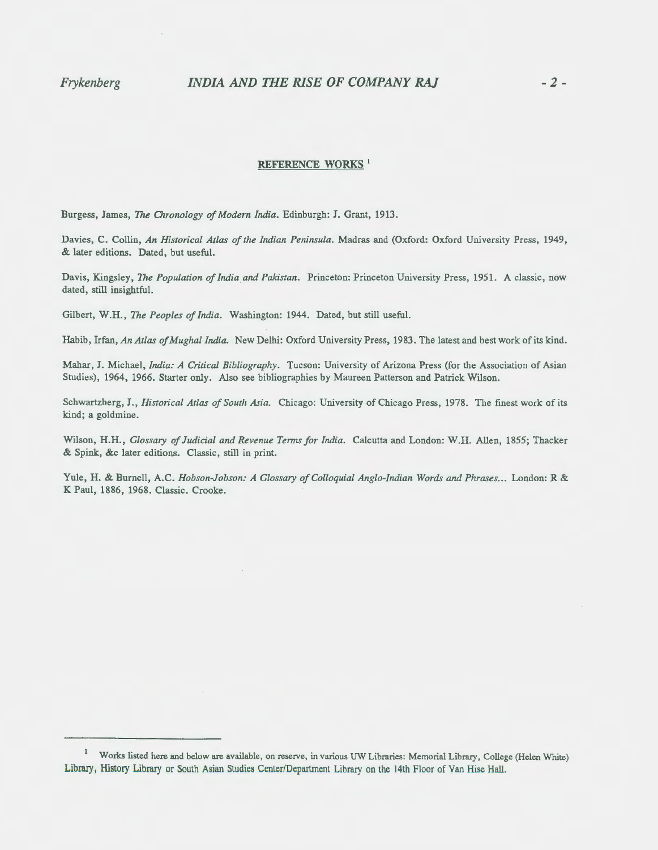# *Frykenberg INDIA AND THE RISE OF COMPANY RAJ* -2-

## REFERENCE WORKS<sup>1</sup>

Burgess, James, The *Chronology of Modern India.* Edinburgh: J. Grant, 1913.

Davies, C. Collin, *An Historical Atlas ofthe Indian Peninsula.* Madras and (Oxford: Oxford University Press, 1949, & later editions. Dated, but useful.

Davis, Kingsley, *The Population of Indiaand Pakistan.* Princeton: Princeton University Press, 1951. A classic, now dated, still insightful.

Gilbert, W.H., *The Peoples of India.* Washington: 1944. Dated, but still useful.

Habib, Irfan, *An Atlas ofMughal India.* New Delhi: Oxford University Press, 1983. The latest and best work of its kind.

Mahar, J. Michael, *India: A Critical Bibliography.* Tucson: University of Arizona Press (for the Association of Asian Studies), 1964, 1966. Starter only. Also see bibliographies by Maureen Patterson and Patrick Wilson.

Schwartzberg, J., *Historical Atlas of South Asia.* Chicago: University of Chicago Press, 1978. The finest work of its kind; a goldmine.

Wilson, H.H., *Glossary of Judicial and Revenue Tenns for India.* Calcutta and London: W.H. Allen, 1855; Thacker & Spink, &c later editions. Classic, still in print.

Yule, H. & Burnell, A.C. *Hobson-Jobson: A Glossary of Colloquial Anglo-Indian Words and Phrases ...* London: R & K Paul, 1886, 1968. Classic. Crooke.

Works listed here and below are available, on reserve, in various UW Libraries: Memorial Library, College (Helen White) Library, History Library or South Asian Studies Center/Department Library on the 14th Floor of Van Hise Hall.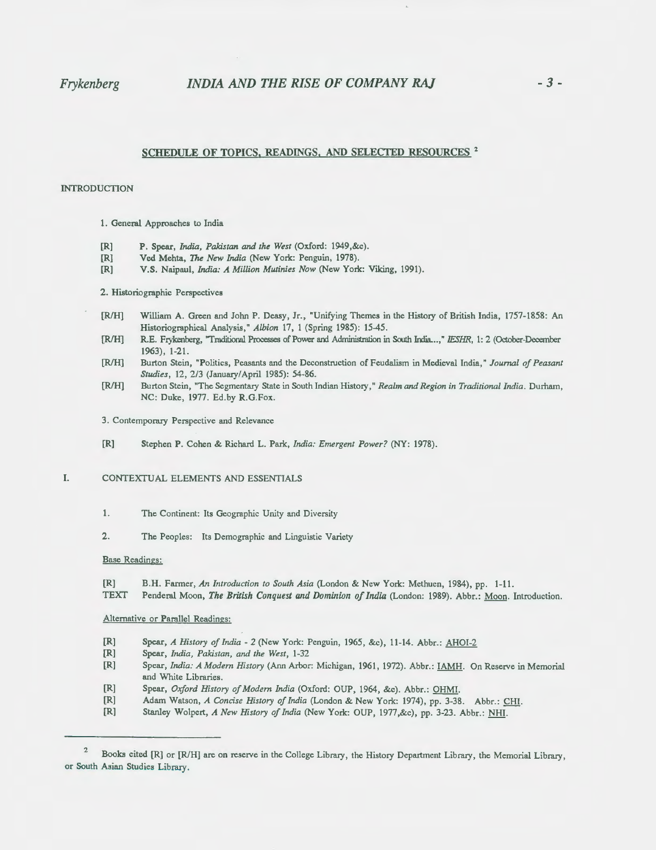# Frykenberg *INDIA AND THE RISE OF COMPANY RAJ* - 3-

### SCHEDULE OF TOPICS, READINGS, AND SELECTED RESOURCES<sup>2</sup>

### INTRODUCTION

- 1. General Approaches to India
- [R] P. Spear, *India, Pakistan* and *the West* (Oxford: 1949,&c).
- [R] Ved Mehta, *The New India* (New York: Penguin, 1978).
- [R] V.S. Naipaul, *India: A Million Mutinies Now* (New York: Viking, 1991).

2. Historiographic Perspectives

- (RIH] William A. Green and John P. Deasy, Jr., "Unifying Themes in the History of British India, 1757-1858: An Historiographical Analysis," *Albion* 17, 1 (Spring 1985): 15-45.
- [R/H] R.E. Frykenberg, "Traditional Processes of Power and Administration in South India...," IESHR, 1: 2 (October-December 1963}, 1-21.
- [RIH] Burton Stein, "Politics, Peasants and the Deconstruction of Feudalism in Medieval India," *Journal of Peasant Studies,* 12, 2/3 (January/April 1985): 54-86.
- [R/H] Burton Stein, "The Segmentary State in South Indian History," *Realm and Region in Traditional India.* Durham, NC: Duke, 1977. Ed .by R.G.Fox.
- 3. Contemporary Perspective and Relevance
- [R] Stephen P. Cohen & Richard L. Park, *India: Emergent Power?* (NY: 1978).
- I. CONTEXTUAL ELEMENTS AND ESSENTIALS
	- 1. The Continent: Its Geographic Unity and Diversity
	- 2. The Peoples: Its Demographic and Linguistic Variety

#### Base Readings:

(R] B.H. Farmer, An *Introduction to South Asia* (London & New York: Methuen, 1984}, pp. 1-11.

TEXT Penderal Moon, *The British Conquest and Dominion of India* (London: 1989). Abbr.: Moon. Introduction.

Alternative or Parallel Readings:

- (R] Spear, *A History of India- 2* (New York: Penguin, 1965, &c), 11-14. Abbr.: AHOI-2
- [R] Spear, *India, Pakistan, and the West,* 1-32
- [R] Spear, *India: A Modem History* (Ann Arbor: Michigan, 1961, 1972). Abbr. : IAMH. On Reserve in Memorial and White Libraries.
- (R] Spear, *Oxford History of Modem India* (Oxford: OUP, 1964, &c). Abbr.: OHM!.
- [R] Adam Watson, *A Concise History of India* (London & New York: 1974), pp. 3-38. Abbr.: CHI.
- [R] Stanley Wolpert, *A New History of India* (New York: OUP, 1977,&c}, pp. 3-23. Abbr.: NHI.

<sup>2</sup>  Books cited [R] or [R/H] are on reserve in the College Library, the History Department Library, the Memorial Library, or South Asian Studies Library.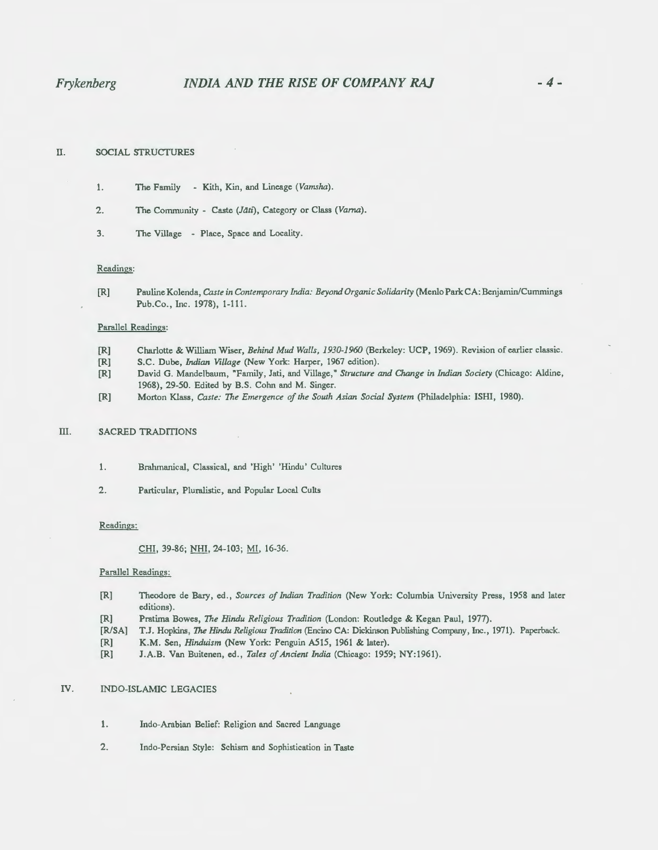# II. SOCIAL STRUCTURES

- 1. The Family Kith, Kin, and Lineage *(Vamsha).*
- 2. The Community Caste (*Jāti*), Category or Class (Varna).
- 3. The Village Place, Space and Locality.

### Readings:

[R] Pauline Kolenda, *Caste in Contemporary India: Beyond Organic Solidarity* (Menlo Park CA: Benjamin/Cummings Pub.Co., Inc. 1978), 1-111.

### Parallel Readings:

- [R] Charlotte & William Wiser, *Behind Mud Walls, 1930-1960* (Berkeley: UCP, 1969). Revision of earlier classic.
- [R] S.C. Dube, *Indian Village* (New York: Harper, 1967 edition).
- [R] David G. Mandelbaum, "Family, Jati, and Village," *Structure and Change in Indian Sodety* (Chicago: Aldine, 1968), 29-50. Edited by B.S. Cohn and M. Singer.
- [R] Morton Klass, *Caste: The Emergence of the South Asian Soda[ System* (Philadelphia: ISHI, 1980).

## III. SACRED TRADITIONS

- 1. Brahmanical, Classical, and 'High' 'Hindu' Cultures
- 2. Particular, Pluralistic, and Popular Local Cults

### Readings:

CHI, 39-86; NHI, 24-103; MI, 16-36.

#### Parallel Readings:

- [R] Theodore deBary, ed., *Sources of Indian Tradition* (New York: Columbia University Press, 1958 and later editions).
- [R] Pratima Bowes, *The Hindu Religious Tradition* (London: Routledge & Kegan Paul, 1977).
- [R/SA] **T.J.** Hopkins, *The Hindu Religious Tradition* (Encino CA: Dickinson Publishing Company, Inc., 1971). Paperback.
- [R] **K.M.** Sen, *Hinduism* (New York: Penguin A515, 1961 & later).
- [R] J.A.B. Van Buitenen, ed., *Tales of Ancient India* (Chicago: 1959; NY:1961).

## IV. INDO-ISLAMIC LEGACIES

- 1. Indo-Arabian Belief: Religion and Sacred Language
- 2. Indo-Persian Style: Schism and Sophistication in Taste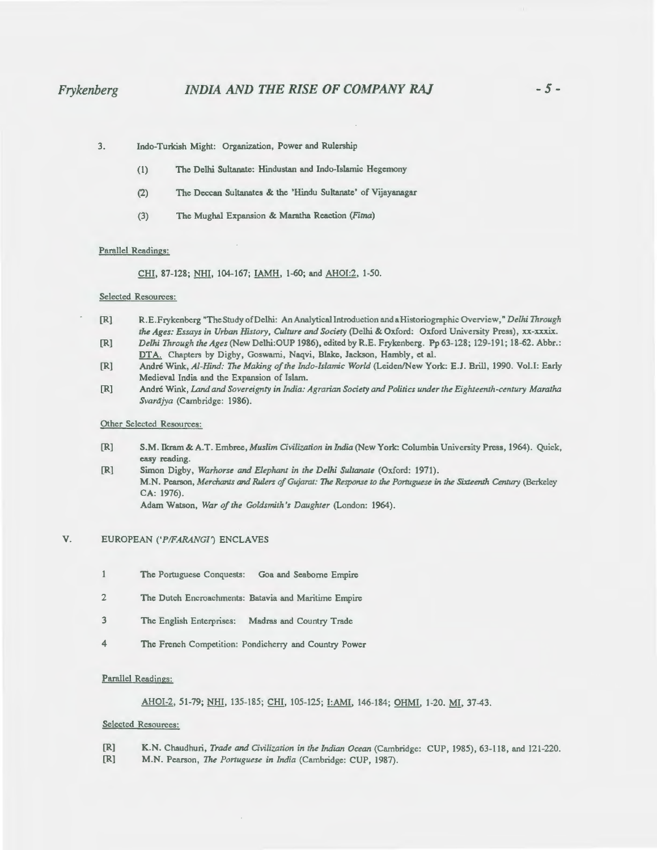# *Frykenberg INDIA AND THE RISE OF COMPANY* **RAJ** *-5-*

- 3. Indo-Turkish Might: Organization, Power and Rulership
	- (1) The Delhi Sultanate: Hindustan and Indo-Islamic Hegemony
	- (2) The Deccan Sultanates & the 'Hindu Sultanate' of Vijayanagar
	- {3) The Mughal Expansion & Maratha Reaction *(Fitna)*

### Parallel Readings:

CHI, 87-128; NHI, 104-167; IAMH, 1-60; and AHOI:2, 1-50.

### Selected Resources:

- [R] R.E.Frykenberg "The Study ofDelhi: An Analyticallntroduction and a Historiographic Overview," *Delhi Through the Ages: Essays in Urban History, Culture and Society* (Delhi & Oxford: Oxford University Press), xx-xxxix.
- [R] *Delhi Through the Ages* (New Delhi:OUP 1986), edited by R.E. Frykenberg. Pp 63-128; 129-191; 18-62. Abbr.: DTA. Chapters by Digby, Goswami, Naqvi, Blake, Jackson, Hambly, et al.
- [R] Andre Wink, *Al-Hind: The Making of the Indo-Islamic World* (Leiden/New York: E.J. Brill, 1990. VoLI: Early Medieval India and the Expansion of Islam.
- [R] Andre Wink, *Land and Sovereignty in India: Agrarian Society and Politics under the Eighteenth-century Maratha Svardjya* (Cambridge: 1986).

### Other Selected Resources:

- [R] S.M. Ikram &A.T. Embree, *Muslim Civilization in* India (New York: Columbia University Press, 1964). Quick, easy reading.
- [R] Simon Digby, *Warhorse and Elephant in the Delhi Sultanate* (Oxford: 1971). M.N. Pearson, *Merchants and Rulers of Gujarat: The Response to the Portuguese in the Sixteenth Century (Berkeley* CA: 1976).

Adam Watson, *War of the Goldsmith's Daughter* (London: 1964).

## V. EUROPEAN *('PIFARANGI')* ENCLAVES

- $\mathbf{1}$ The Portuguese Conquests: Goa and Seaborne Empire
- 2 The Dutch Encroachments: Batavia and Maritime Empire
- 3 The English Enterprises: Madras and Country Trade
- 4 The French Competition: Pondicherry and Country Power

### Parallel Readings:

### AHOI-2, 51-79; NHI, 135-185; CHI, 105-125; I:AMI, 146-184; OHMI, 1-20. MI, 37-43.

## Selected Resources:

- [R] K.N. Chaudhuri, *Trade and Civilization in the Indian Ocean* (Cambridge: CUP, 1985), 63-118, and 121-220.
- [R] M.N. Pearson, *The Portuguese in India* (Cambridge: CUP, 1987).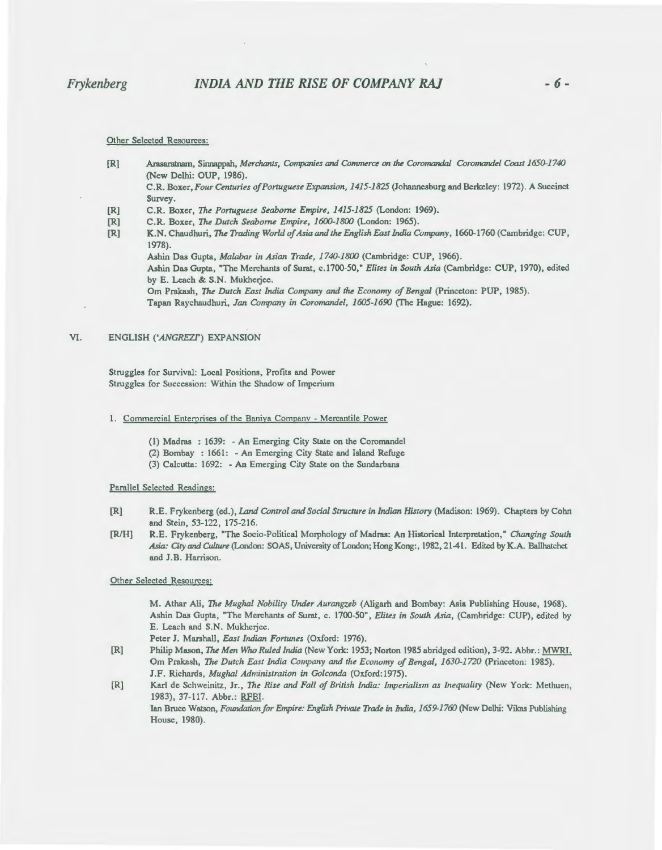Other Selected Resources:

[R] Arasaratnam, Sinnappah, *Merchants, Companies and Commerce on the Coromandal Coromandel Coast 1650-1740* (New Delhi: OUP, 1986).

C.R. Boxer, *Four Centuries of Portuguese Expansion, 1415-1825* (Johannesburg and Berkeley: 1972). A Succinct Survey.

- [R] C.R. Boxer, *The Portuguese Seaborne Empire, 1415-1825* (London: 1969).
- [R] C.R. Boxer, *The Dutch Seaborne Empire, 1600-1800* (London: 1965).
- [R] K.N. Chaudhuri, *The Trading World of Asia and the English East India Company,* 1660-1760 (Cambridge: CUP, 1978).

Ashin Das Gupta, *Malabar in Asian Trade, 1740-1800* (Cambridge: CUP, 1966). Ashin Das Gupta, "The Merchants of Surat, c.1700-50," *Elites in South Asia* (Cambridge: CUP, 1970), edited by E. Leach & S.N. Mukherjee.

Om Prakash, *The Dutch East India Company* and *the Economy of Bengal* (Princeton: PUP, 1985).

Tapan Raychaudhuri, *Jan Company in Coromandel, 1605-1690* (fhe Hague: 1692).

#### VI. ENGLISH *('ANGREZF)* EXPANSION

Struggles for Survival: Local Positions, Profits and Power Struggles for Succession: Within the Shadow of Imperium

- 1. Commercial Enterprises of the Baniya Company Mercantile Power
	- (1) Madras : 1639: -An Emerging City State on the Coromandel
	- (2) Bombay : 1661: An Emerging City State and Island Refuge
	- (3) Calcutta: 1692: An Emerging City State on the Sundarbans

Parallel Selected Readings:

- [R] R.E. Frykenberg (ed.), *Land Control and Social Structure in Indian History* (Madison: 1969). Chapters by Cohn and Stein, 53-122, 175-216.
- [R/H] R.E. Frykenberg, "The Socio-Political Morphology of Madras: An Historical Interpretation," *Changing South Asia: City* and *Culture* (London: SOAS, University of London; Hong Kong:, 1982, 21-41. Edited by K.A. Ballhatchet and J.B. Harrison.

Other Selected Resources:

M. Athar Ali, *The Mughal Nobility Under Aurangzeb* (Aligarh and Bombay: Asia Publishing House, 1968). Ashin Das Gupta, "The Merchants of Surat, c. 1700-50", *Elites in South Asia,* (Cambridge: CUP), edited by E. Leach and S.N. Mukherjee.

Peter J. Marshall, *East Indian Fortunes* (Oxford: 1976).

- [R] Philip Mason, *The Men Who Ruled India* (New York: 1953; Norton 1985 abridged edition), 3-92. Abbr.: MWRI. Om Prakash, *The Dutch East India Company* and *the Economy of Bengal, 1630-1720* (Princeton: 1985). J.F. Richards, *Mughal Administration in Golconda* (Oxford:1975).
- [R] Karl de Schweinitz, Jr., *The Rise and Fall of British India: Imperialism as Inequality* (New York: Methuen, 1983), 37-117. Abbr.: RFBI. Ian Bruce Watson, *Foundation for Empire: English Private Trade in India, 1659-1760* (New Delhi: Vikas Publishing House, 1980).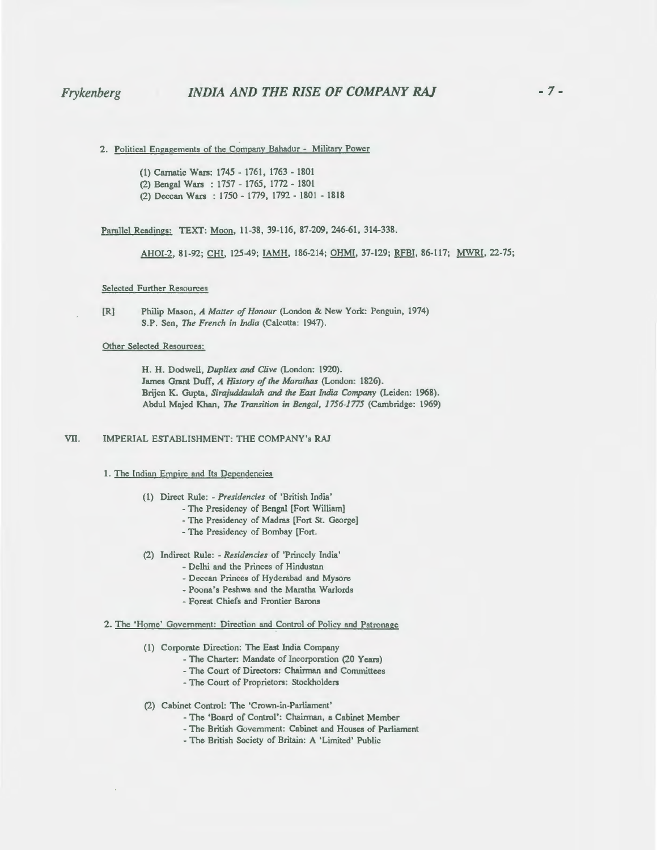# *Frykenberg INDIA AND THE RISE OF COMPANY* **RAJ**

2. Political Engagements of the Companv Bahadur - Militarv Power

(1) Carnatic Wars: 1745 - 1761, 1763 - 1801 (2) Bengal Wars : 1757 - 1765, 1772 - 1801 (2) Deccan Wars : 1750- 1779, 1792- 1801 - 1818

Parallel Readings: TEXT: Moon, 11-38, 39-116, 87-209, 246-61, 314-338.

AHOI-2, 81-92; CHI, 125-49; IAMH, 186-214; OHMI, 37-129; RFBI, 86-117; MWRI, 22-75;

### Selected Further Resources

Other Selected Resources:

H. H. Dodwell, *Dupliex and Clive* (London: 1920). James Grant Duff, *A History of the Marathas* (London: 1826). Brijen K. Gupta, *Sirajuddaulah and the East India Company* (Leiden: 1968). Abdul Majed Khan, *The Transition in Bengal, 1756-1775* (Cambridge: 1969)

VII. IMPERIAL ESTABLISHMENT: THE COMPANY's RAJ

### 1. The Indian Empire and Its Dependencies

- (1) Direct Rule: *-Presidencies* of 'British India'
	- The Presidency of Bengal [Fort William]
		- -The Presidency of Madras [Fort St. George]
		- The Presidency of Bombay [Fort.
- (2) Indirect Rule: *Residencies* of 'Princely India'
	- Delhi and the Princes of Hindustan
	- Deccan Princes of Hyderabad and Mysore
	- Poona's Peshwa and the Maratha Warlords
	- Forest Chiefs and Frontier Barons
- 2. The 'Home' Government: Direction and Control of Policy and Patronage
	- (1) Corporate Direction: The East India Company
		- -The Charter: Mandate of Incorporation (20 Years)
		- The Court of Directors: Chairman and Committees
		- The Court of Proprietors: Stockholders
	- (2) Cabinet Control: The 'Crown-in-Parliament'
		- -The 'Board of Control': Chairman, a Cabinet Member
		- The British Government: Cabinet and Houses of Parliament
		- -The British Society of Britain: A 'Limited' Public

<sup>[</sup>R] Philip Mason, *A Matter of Honour* (London & New York: Penguin, 1974) S.P. Sen, *The French in India* (Calcutta: 1947).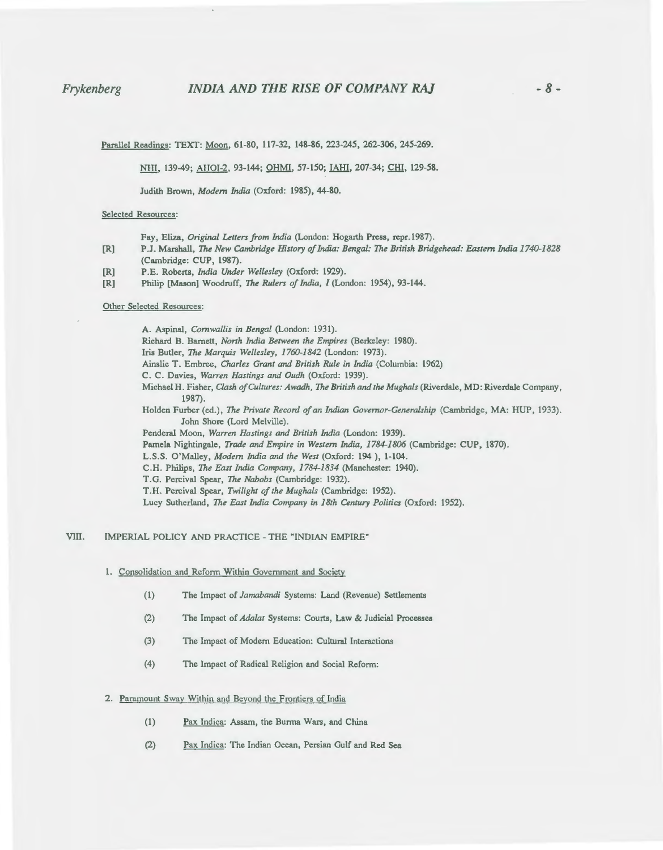# *Frykenberg INDIA AND THE RISE OF COMPANY* **RAJ** - *8-*

Pamllel Readings: TEXT: Moon, 61-80, 117-32, 148-86, 223-245, 262-306, 245-269.

NHI, 139-49; AHOI-2, 93-144; OHMI, 57-150; IAHI, 207-34; CHI, 129-58.

Judith Brown, *Modem India* (Oxford: 1985), 44-80.

### Selected Resources:

- Fay, Eliza, *Original Letters from India* (London: Hogarth Press, repr.l987).
- [R] P.J. Marshall, *The New Cambridge History of India: Bengal: The British Bridgehead: Eastern India 1740-1828*  (Cambridge: CUP, 1987).
- [R] P.E. Roberts, *India Under Wellesley* (Oxford: 1929).
- [R] Philip [Mason] Woodruff, *The Rulers of India, I* (London: 1954), 93-144.

### Other Selected Resources:

A. Aspinal, *Cornwallis in Bengal* (London: 1931). Richard B. Barnett, *Nonh India Between the Empires* (Berkeley: 1980). Iris Butler, *The Marquis Wellesley, 1760-1842* (London: 1973). Ainslie T. Embree, *Charles Grant and British Rule in India* (Columbia: 1962) C. C. Davies, *Warren Hastings and Oudh* (Oxford: 1939). Michael H. Fisher, *Clash of Cultures: Awadh, The British and the Mughals* (Riverdale, MD: Riverdale Company, 1987). Holden Furber (ed.), *The Private Record of an Indian Governor-Generalship* (Cambridge, MA: HUP, 1933). John Shore (Lord Melville). Penderal Moon, *Warren Hastings* and *British India* (London: 1939). Pamela Nightingale, *Trade and Empire in Western India, 1784-1806* (Cambridge: CUP, 1870). L.S.S. O'Malley, *Modem India and the West* (Oxford: 194 ), 1-104. C.H. Philips, *The East India Company, 1784-1834* (Manchester: 1940). T.G. Percival Spear, *The Nabobs* (Cambridge: 1932). T.H. Percival Spear, *Twilight of the Mughals* (Cambridge: 1952). Lucy Sutherland, *The East India Company in 18th Century Politics* (Oxford: 1952).

## VIII. IMPERIAL POLICY AND PRACTICE -THE "INDIAN EMPIRE"

- 1. Consolidation and Reform Within Government and Society
	- (I) The Impact of *Jamabandi* Systems: Land (Revenue) Settlements
	- (2) The Impact of *Ada/at* Systems: Courts, Law & Judicial Processes
	- (3) The Impact of Modem Education: Cultural Interactions
	- (4) The Impact of Radical Religion and Social Reform:

## 2. Paramount Swav Within and Bevond the Frontiers of India

- (I) Pax Indica: Assam, the Burma Wars, and China
- (2) Pax Indica: The Indian Ocean, Persian Gulf and Red Sea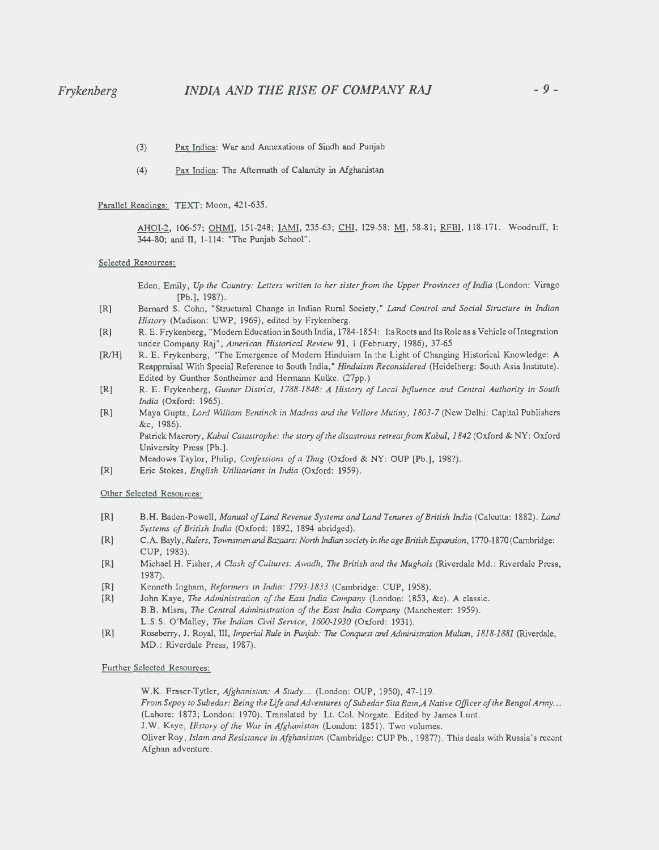- (3) Pax Indica: War and Annexations of Sindh and Punjab
- (4) Pax Indica: The Aftermath of Calamity in Afghanistan

Parallel Readings: TEXT: Moon, 421-635.

AHOI-2, 106-57; OHMI, 151-248; IAMI, 235-63; CHI, 129-58; MI, 58-81; RFBI, 118-171. Woodruff, I: 344-80; and IT, 1-114: "The Punjab School" .

#### Selected Resources:

Eden, Emily, *Up the Country: Letters written to her sister from the Upper Provinces of India* (London: Virago [Pb.], 198?).

- $[R]$ Bernard S. Cohn, "Structural Change in Indian Rural Society," *Land Control and Social Structure in Indian History* (Madison: UWP, 1969), edited by Frykenberg.
- $[R]$ R. E. Frykenberg, "Modern Education in South India, 1784-1854: Its Roots and Its Role as a Vehicle of Integration under Company Raj", *American Historical Review* 91, 1 (February, 1986), 37-65
- $[R/H]$ R. E. Frykenberg, "The Emergence of Modern Hinduism In the Light of Changing Historical Knowledge: A Reappraisal With Special Reference to South India," *Hinduism Reconsidered* (Heidelberg: South Asia Institute). Edited by Gunther Sontheimer and Hermann Kulke. (27pp.)
- $[R]$ R. E. Frykenberg, *Guntur District, 1788-1848: A History of Local Influence and Central Authority in South India* (Oxford: 1965).
- [R] Maya Gupta, *Lord William Bentinck in Madras and the Vellore Mutiny, 1803-7* (New Delhi: Capital Publishers &c, 1986).

Patrick Macrory, *Kabul Catastrophe: the story of the disastrous retreat from Kabul, 1842* (Oxford & NY: Oxford University Press [Pb.].

Meadows Taylor, Philip, *Confessions of a Thug* (Oxford & NY: OUP [Pb.], 198?).

[R] Eric Stokes, *English Utilitarians in India* (Oxford: 1959).

Other Selected Resources:

- [R] B. H. Baden-Powell, *Manual ofLand Revenue Systems and Land Tenures of British India* (Calcutta: 1882). *Land Systems of British India* (Oxford: 1892, 1894 abridged).
- [R] C.A. Bayly, *Rulers, Townsmen* and *Baz/Jars: Nonh* Indian *society in the age British Expansion ,* 1770-1870 (Cambridge: CUP, 1983).
- [R] Michael H. Fisher, *A Clash of Cultures: Awadh, The British and the Mughals* (Riverdale Md .: Riverdale Press, 1987).
- [R] Kenneth Ingham, *Refonners in India: 1793-1833* (Cambridge: CUP, 1958).
- [R] John Kaye, *The Administration of the East India Company* (London: 1853, &c). A classic. B.B. Misra, *The Central Administration of the East India Company* (Manchester: 1959). L.S.S. O'Malley, *The Indian Civil Service, 1600-1930* (Oxford: 1931).
- [R] Roseberry, J. Royal, III, *Imperial Rule in Punjab: The Conquest* and *Administration Multan, 1818-1881* (Riverdale, MD.: Riverdale Press, 1987).

Further Selected Resources:

W.K. Fraser-Tytler, *Afghanistan: A Study ...* (London: OUP, 1950), 47-119. *From Sepoy to Subedar: Being the Life and Adventures of Subedar Sita Ram, A Native Officer of the Bengal Anny...* (Lahore: 1873; London: 1970). Translated by Lt. Col. Norgate. Edited by James Lunt. J.W. Kaye, *History of the War in Afghanistan* (London: 1851). Two volumes. Oliver Roy, *Islam and Resistance in Afghanistan* (Cambridge: CUP Ph., 1987?). This deals with Russia's recent Afghan adventure.